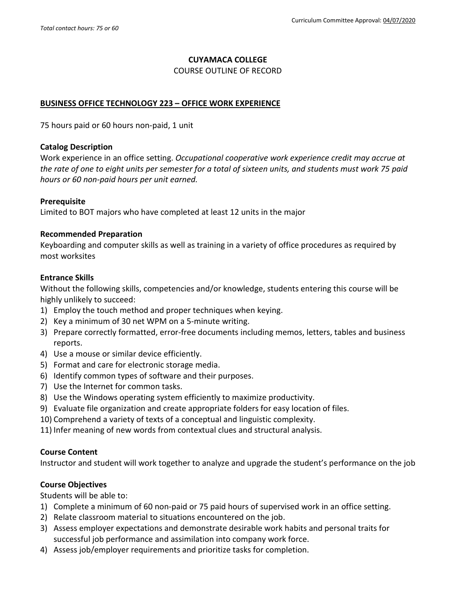### **CUYAMACA COLLEGE**

#### COURSE OUTLINE OF RECORD

### **BUSINESS OFFICE TECHNOLOGY 223 – OFFICE WORK EXPERIENCE**

75 hours paid or 60 hours non-paid, 1 unit

#### **Catalog Description**

Work experience in an office setting. *Occupational cooperative work experience credit may accrue at the rate of one to eight units per semester for a total of sixteen units, and students must work 75 paid hours or 60 non-paid hours per unit earned.*

### **Prerequisite**

Limited to BOT majors who have completed at least 12 units in the major

#### **Recommended Preparation**

Keyboarding and computer skills as well as training in a variety of office procedures as required by most worksites

#### **Entrance Skills**

Without the following skills, competencies and/or knowledge, students entering this course will be highly unlikely to succeed:

- 1) Employ the touch method and proper techniques when keying.
- 2) Key a minimum of 30 net WPM on a 5-minute writing.
- 3) Prepare correctly formatted, error-free documents including memos, letters, tables and business reports.
- 4) Use a mouse or similar device efficiently.
- 5) Format and care for electronic storage media.
- 6) Identify common types of software and their purposes.
- 7) Use the Internet for common tasks.
- 8) Use the Windows operating system efficiently to maximize productivity.
- 9) Evaluate file organization and create appropriate folders for easy location of files.
- 10) Comprehend a variety of texts of a conceptual and linguistic complexity.
- 11) Infer meaning of new words from contextual clues and structural analysis.

### **Course Content**

Instructor and student will work together to analyze and upgrade the student's performance on the job

### **Course Objectives**

Students will be able to:

- 1) Complete a minimum of 60 non-paid or 75 paid hours of supervised work in an office setting.
- 2) Relate classroom material to situations encountered on the job.
- 3) Assess employer expectations and demonstrate desirable work habits and personal traits for successful job performance and assimilation into company work force.
- 4) Assess job/employer requirements and prioritize tasks for completion.